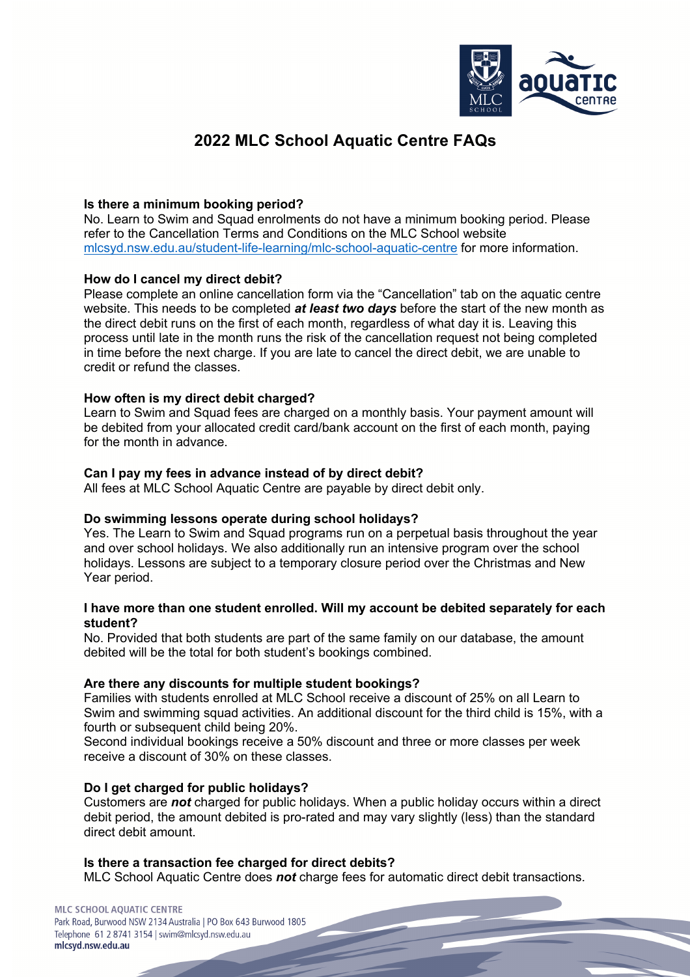

# **2022 MLC School Aquatic Centre FAQs**

# **Is there a minimum booking period?**

No. Learn to Swim and Squad enrolments do not have a minimum booking period. Please refer to the Cancellation Terms and Conditions on the MLC School website [mlcsyd.nsw.edu.au/student-life-learning/mlc-school-aquatic-centre](https://www.mlcsyd.nsw.edu.au/student-life-learning/mlc-school-aquatic-centre) for more information.

## **How do I cancel my direct debit?**

Please complete an online cancellation form via the "Cancellation" tab on the aquatic centre website. This needs to be completed *at least two days* before the start of the new month as the direct debit runs on the first of each month, regardless of what day it is. Leaving this process until late in the month runs the risk of the cancellation request not being completed in time before the next charge. If you are late to cancel the direct debit, we are unable to credit or refund the classes.

## **How often is my direct debit charged?**

Learn to Swim and Squad fees are charged on a monthly basis. Your payment amount will be debited from your allocated credit card/bank account on the first of each month, paying for the month in advance.

#### **Can I pay my fees in advance instead of by direct debit?**

All fees at MLC School Aquatic Centre are payable by direct debit only.

#### **Do swimming lessons operate during school holidays?**

Yes. The Learn to Swim and Squad programs run on a perpetual basis throughout the year and over school holidays. We also additionally run an intensive program over the school holidays. Lessons are subject to a temporary closure period over the Christmas and New Year period.

#### **I have more than one student enrolled. Will my account be debited separately for each student?**

No. Provided that both students are part of the same family on our database, the amount debited will be the total for both student's bookings combined.

#### **Are there any discounts for multiple student bookings?**

Families with students enrolled at MLC School receive a discount of 25% on all Learn to Swim and swimming squad activities. An additional discount for the third child is 15%, with a fourth or subsequent child being 20%.

Second individual bookings receive a 50% discount and three or more classes per week receive a discount of 30% on these classes.

#### **Do I get charged for public holidays?**

Customers are *not* charged for public holidays. When a public holiday occurs within a direct debit period, the amount debited is pro-rated and may vary slightly (less) than the standard direct debit amount.

#### **Is there a transaction fee charged for direct debits?**

MLC School Aquatic Centre does *not* charge fees for automatic direct debit transactions.